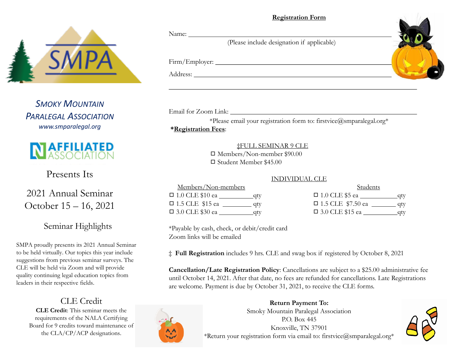#### **Registration Form**



*SMOKY MOUNTAIN PARALEGAL ASSOCIATION www.smparalegal.org*



Presents Its

2021 Annual Seminar October 15 – 16, 2021

## Seminar Highlights

SMPA proudly presents its 2021 Annual Seminar to be held virtually. Our topics this year include suggestions from previous seminar surveys. The CLE will be held via Zoom and will provide quality continuing legal education topics from leaders in their respective fields.

# CLE Credit

**CLE Credit**: This seminar meets the requirements of the NALA Certifying Board for 9 credits toward maintenance of the CLA/CP/ACP designations.

#### Name:

(Please include designation if applicable)

Firm/Employer:

Address:

Email for Zoom Link:

\*Please email your registration form to: firstvice@smparalegal.org\*

## **\*Registration Fees**:

‡FULL SEMINAR 9 CLE ◻ Members/Non-member \$90.00

◻ Student Member \$45.00

#### INDIVIDUAL CLE

| Members/Non-members    |      |
|------------------------|------|
| $\Box$ 1.0 CLE \$10 ea | _qty |
| $\Box$ 1.5 CLE \$15 ea | qty  |
| $\Box$ 3.0 CLE \$30 ea | qty  |

| Students                 |      |
|--------------------------|------|
| $\Box$ 1.0 CLE \$5 ea    | _qty |
| $\Box$ 1.5 CLE \$7.50 ea | qty  |
| □ 3.0 CLE \$15 ea        | qty  |

\*Payable by cash, check, or debit/credit card Zoom links will be emailed

‡ **Full Registration** includes 9 hrs. CLE and swag box if registered by October 8, 2021

**Cancellation/Late Registration Policy**: Cancellations are subject to a \$25.00 administrative fee until October 14, 2021. After that date, no fees are refunded for cancellations. Late Registrations are welcome. Payment is due by October 31, 2021, to receive the CLE forms.



**Return Payment To:**  Smoky Mountain Paralegal Association P.O. Box 445 Knoxville, TN 37901 \*Return your registration form via email to: firstvice@smparalegal.org\*